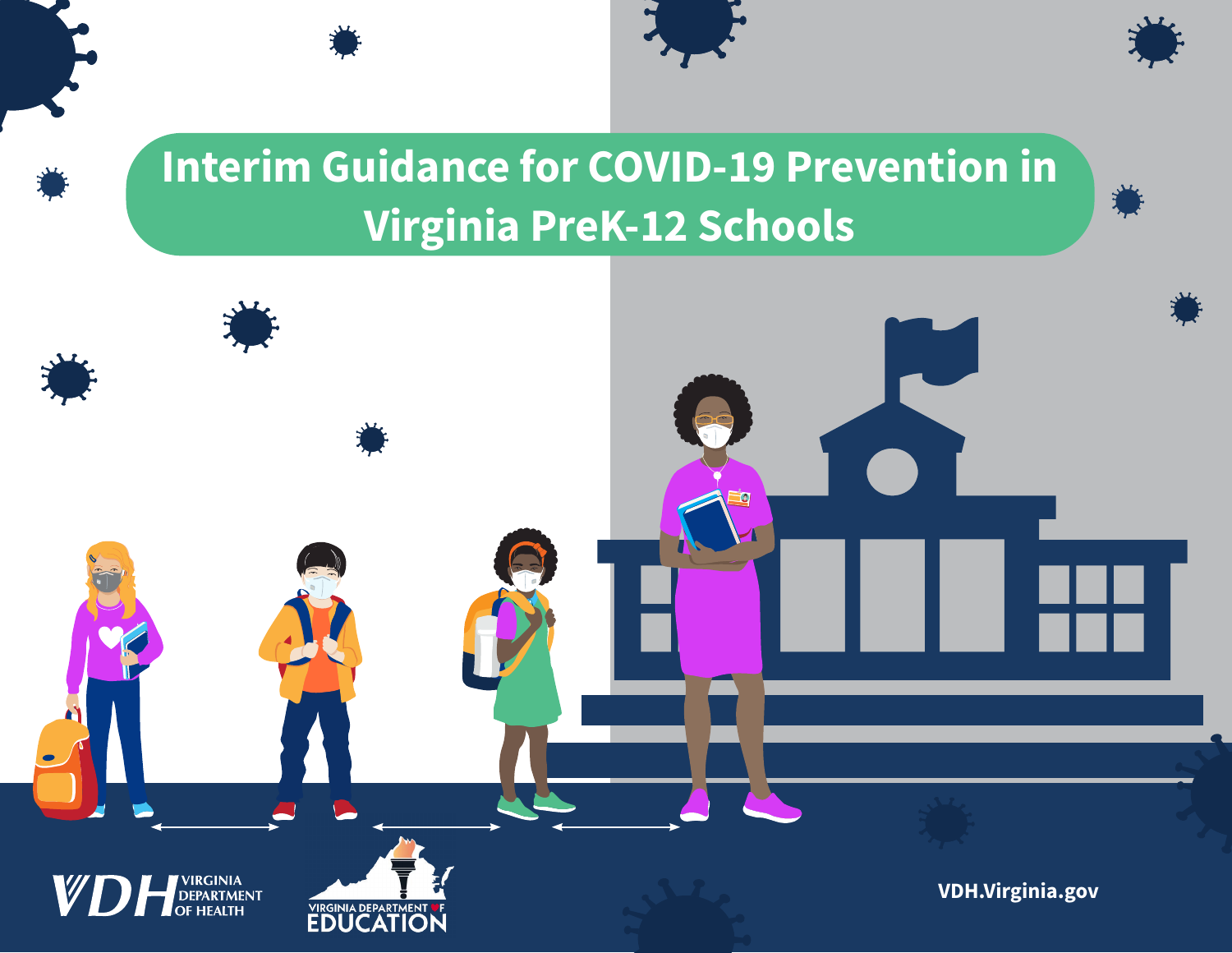# **Interim Guidance for COVID-19 Prevention in Virginia PreK-12 Schools**

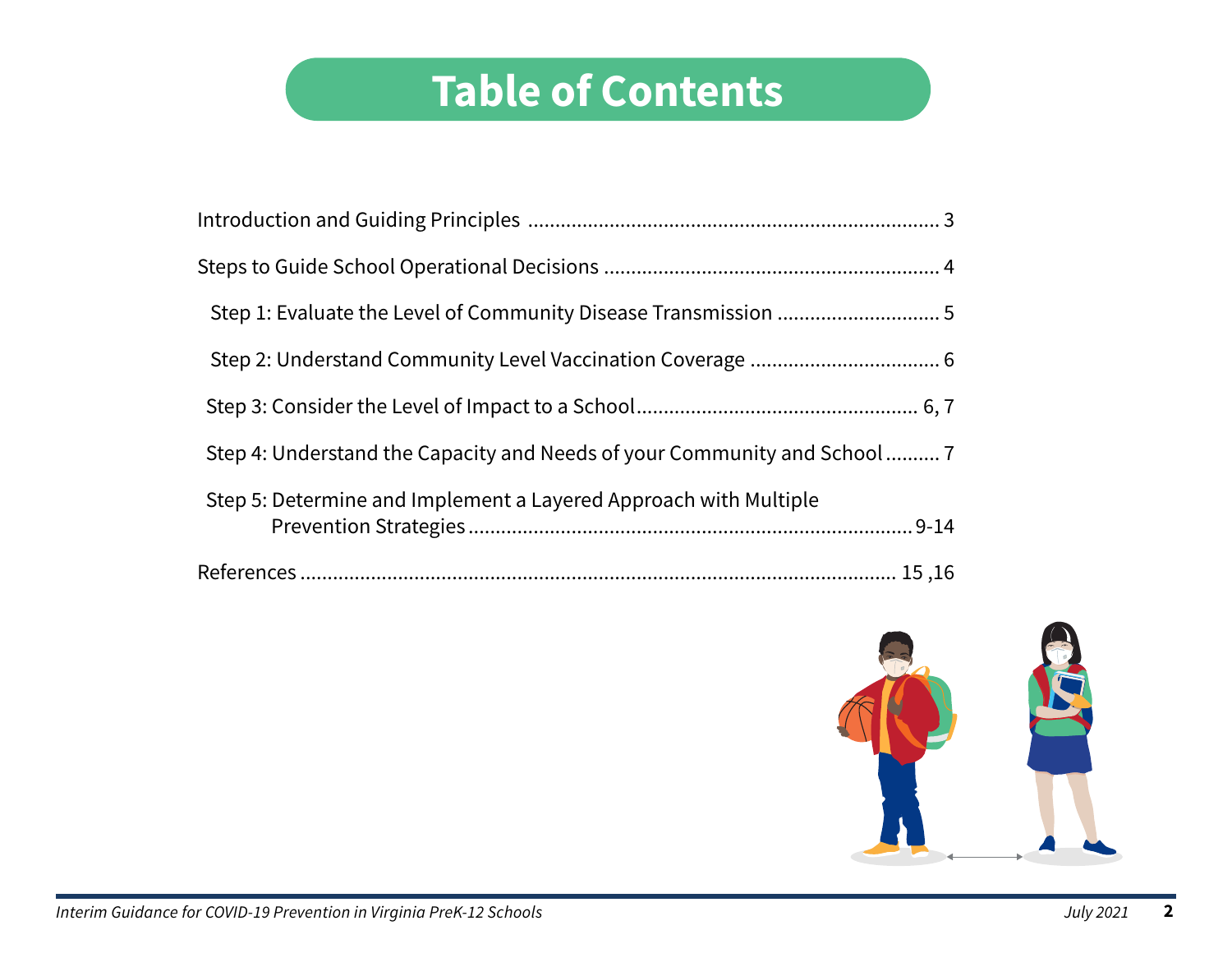# **Table of Contents**

| Step 5: Determine and Implement a Layered Approach with Multiple |
|------------------------------------------------------------------|
|                                                                  |

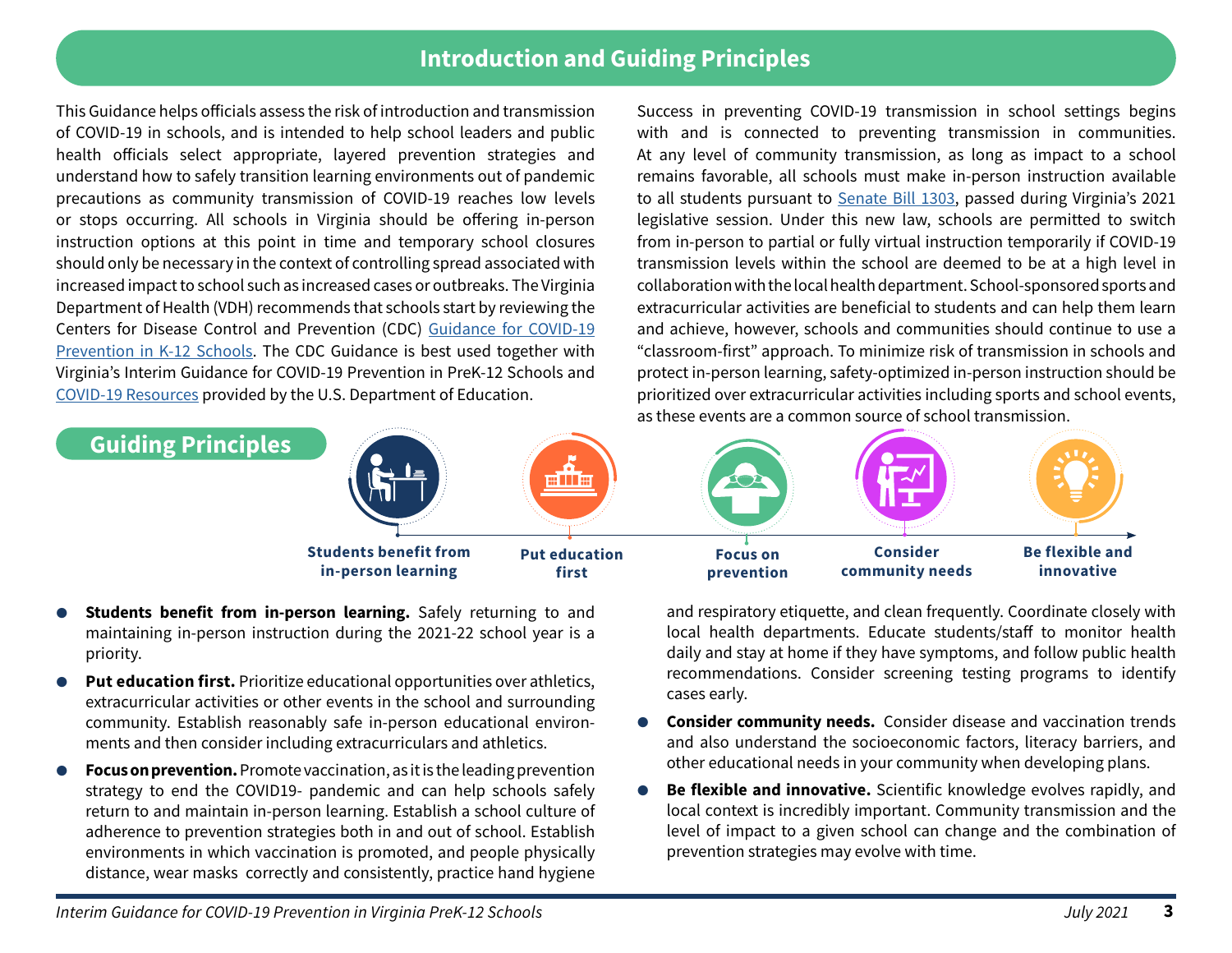## **Introduction and Guiding Principles**

This Guidance helps officials assess the risk of introduction and transmission of COVID-19 in schools, and is intended to help school leaders and public health officials select appropriate, layered prevention strategies and understand how to safely transition learning environments out of pandemic precautions as community transmission of COVID-19 reaches low levels or stops occurring. All schools in Virginia should be offering in-person instruction options at this point in time and temporary school closures should only be necessary in the context of controlling spread associated with increased impact to school such as increased cases or outbreaks. The Virginia Department of Health (VDH) recommends that schools start by reviewing the Centers for Disease Control and Prevention (CDC) [Guidance for COVID-19](https://www.cdc.gov/coronavirus/2019-ncov/community/schools-childcare/k-12-guidance.html) [Prevention in K-12 Schools](https://www.cdc.gov/coronavirus/2019-ncov/community/schools-childcare/k-12-guidance.html). The CDC Guidance is best used together with Virginia's Interim Guidance for COVID-19 Prevention in PreK-12 Schools and [COVID-19 Resource](https://www.ed.gov/coronavirus)s provided by the U.S. Department of Education.

Success in preventing COVID-19 transmission in school settings begins with and is connected to preventing transmission in communities. At any level of community transmission, as long as impact to a school remains favorable, all schools must make in-person instruction available to all students pursuant to [Senate Bill 1303,](https://lis.virginia.gov/cgi-bin/legp604.exe?212+ful+CHAP0456) passed during Virginia's 2021 legislative session. Under this new law, schools are permitted to switch from in-person to partial or fully virtual instruction temporarily if COVID-19 transmission levels within the school are deemed to be at a high level in collaboration with the local health department. School-sponsored sports and extracurricular activities are beneficial to students and can help them learn and achieve, however, schools and communities should continue to use a "classroom-first" approach. To minimize risk of transmission in schools and protect in-person learning, safety-optimized in-person instruction should be prioritized over extracurricular activities including sports and school events, as these events are a common source of school transmission.



- **Students benefit from in-person learning.** Safely returning to and maintaining in-person instruction during the 2021-22 school year is a priority.
- **Put education first.** Prioritize educational opportunities over athletics, extracurricular activities or other events in the school and surrounding community. Establish reasonably safe in-person educational environments and then consider including extracurriculars and athletics.
- **Focus on prevention.** Promote vaccination, as it is the leading prevention strategy to end the COVID19- pandemic and can help schools safely return to and maintain in-person learning. Establish a school culture of adherence to prevention strategies both in and out of school. Establish environments in which vaccination is promoted, and people physically distance, wear masks correctly and consistently, practice hand hygiene

and respiratory etiquette, and clean frequently. Coordinate closely with local health departments. Educate students/staff to monitor health daily and stay at home if they have symptoms, and follow public health recommendations. Consider screening testing programs to identify cases early.

- **Consider community needs.** Consider disease and vaccination trends and also understand the socioeconomic factors, literacy barriers, and other educational needs in your community when developing plans.
- Be flexible and innovative. Scientific knowledge evolves rapidly, and local context is incredibly important. Community transmission and the level of impact to a given school can change and the combination of prevention strategies may evolve with time.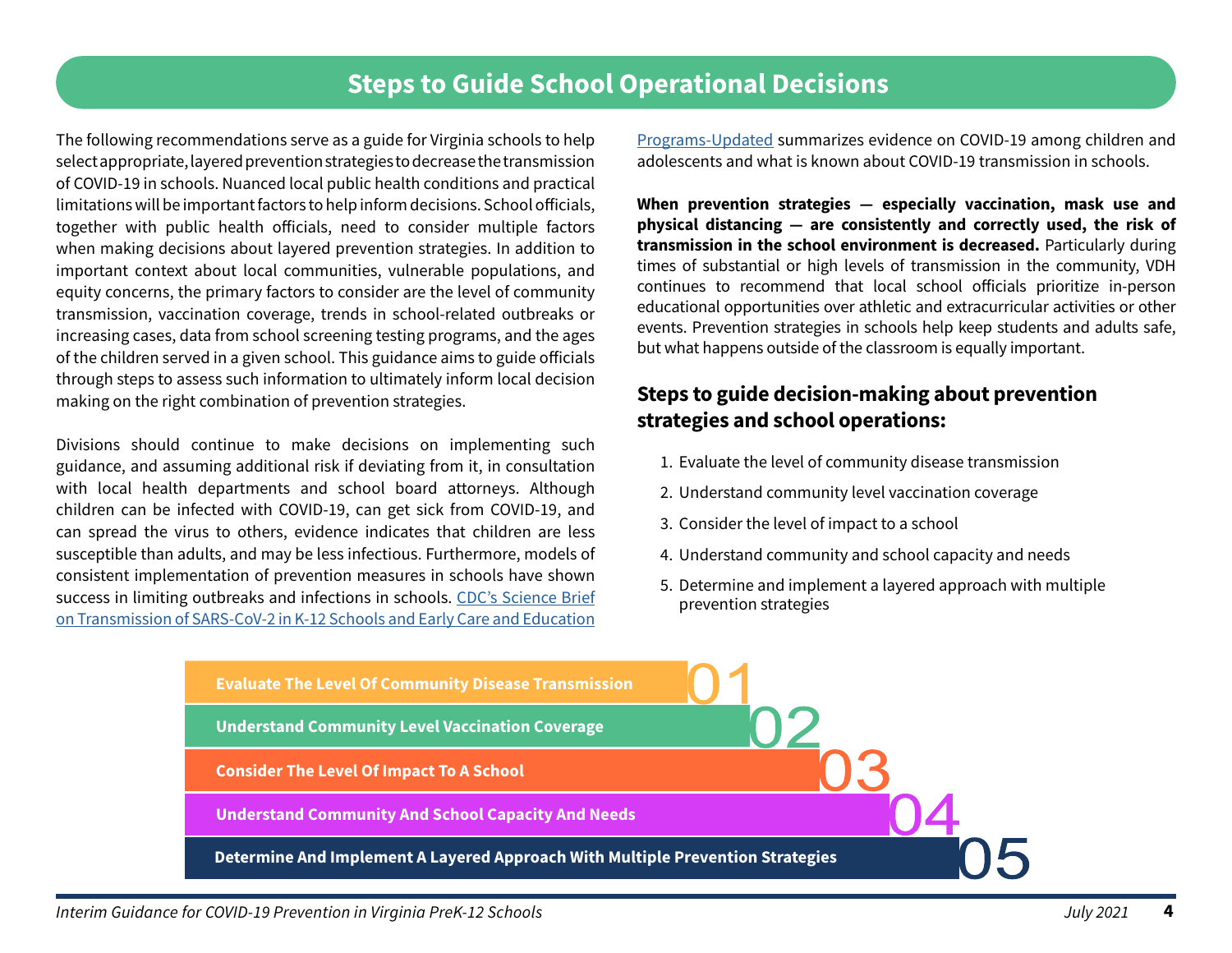# **Steps to Guide School Operational Decisions**

The following recommendations serve as a guide for Virginia schools to help select appropriate, layered prevention strategies to decrease the transmission of COVID-19 in schools. Nuanced local public health conditions and practical limitations will be important factors to help inform decisions. School officials, together with public health officials, need to consider multiple factors when making decisions about layered prevention strategies. In addition to important context about local communities, vulnerable populations, and equity concerns, the primary factors to consider are the level of community transmission, vaccination coverage, trends in school-related outbreaks or increasing cases, data from school screening testing programs, and the ages of the children served in a given school. This guidance aims to guide officials through steps to assess such information to ultimately inform local decision making on the right combination of prevention strategies.

Divisions should continue to make decisions on implementing such guidance, and assuming additional risk if deviating from it, in consultation with local health departments and school board attorneys. Although children can be infected with COVID-19, can get sick from COVID-19, and can spread the virus to others, evidence indicates that children are less susceptible than adults, and may be less infectious. Furthermore, models of consistent implementation of prevention measures in schools have shown success in limiting outbreaks and infections in schools. [CDC's Science Brief](https://www.cdc.gov/coronavirus/2019-ncov/science/science-briefs/transmission_k_12_schools.html) [on Transmission of SARS-CoV-2 in K-12 Schools and Early Care and Education](https://www.cdc.gov/coronavirus/2019-ncov/science/science-briefs/transmission_k_12_schools.html)

[Programs-Updated](https://www.cdc.gov/coronavirus/2019-ncov/science/science-briefs/transmission_k_12_schools.html) summarizes evidence on COVID-19 among children and adolescents and what is known about COVID-19 transmission in schools.

**When prevention strategies — especially vaccination, mask use and physical distancing — are consistently and correctly used, the risk of transmission in the school environment is decreased.** Particularly during times of substantial or high levels of transmission in the community, VDH continues to recommend that local school officials prioritize in-person educational opportunities over athletic and extracurricular activities or other events. Prevention strategies in schools help keep students and adults safe, but what happens outside of the classroom is equally important.

## **Steps to guide decision-making about prevention strategies and school operations:**

- [1. Evaluate the level of community disease transmission](#page-4-0)
- [2. Understand community level vaccination coverage](#page-5-0)
- [3. Consider the level of impact to a school](#page-5-0)
- [4. Understand community and school capacity and needs](#page-6-0)
- [5. Determine and implement a layered approach with multiple](#page-7-0)  prevention strategies

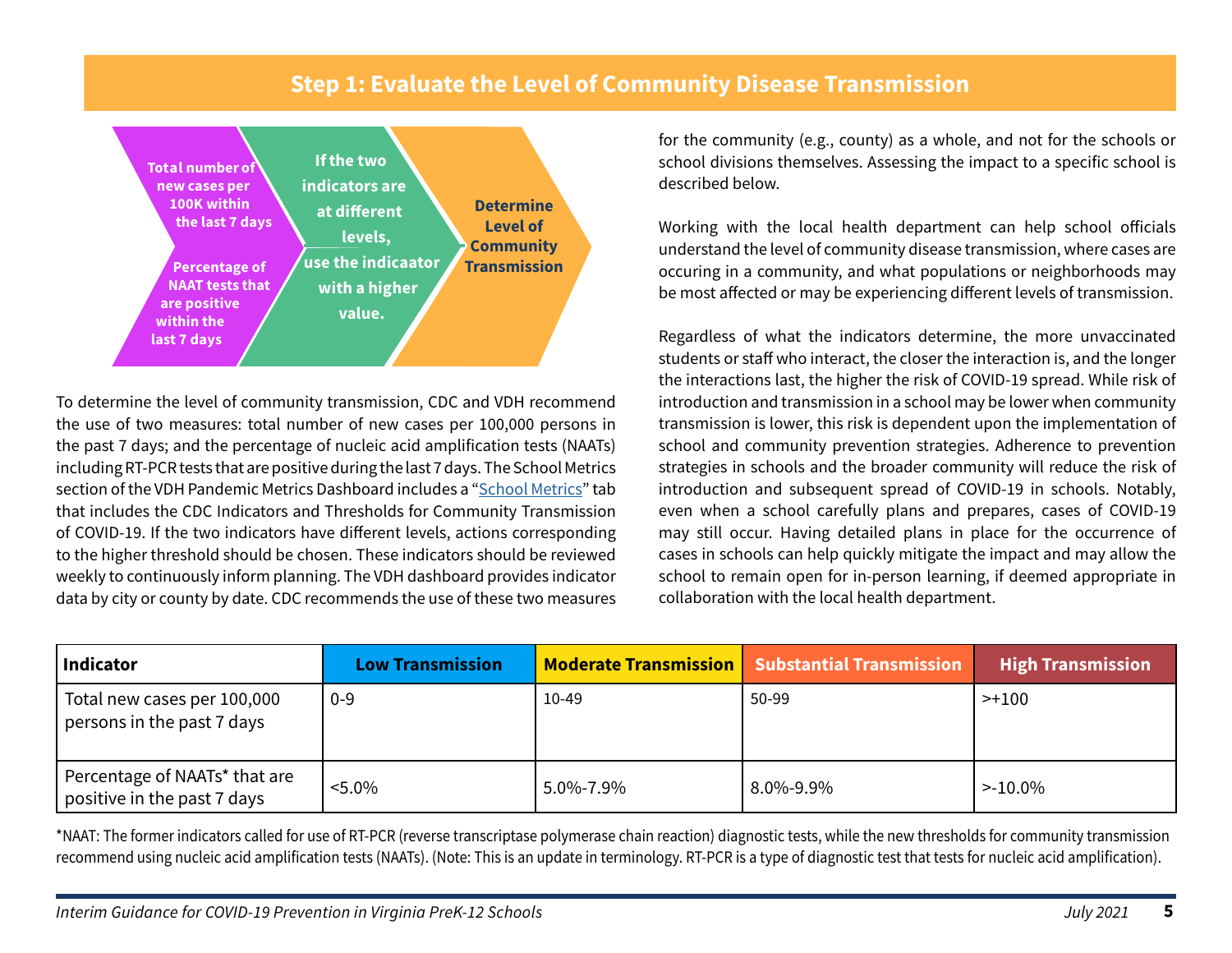## **Step 1: Evaluate the Level of Community Disease Transmission**

<span id="page-4-0"></span>

To determine the level of community transmission, CDC and VDH recommend the use of two measures: total number of new cases per 100,000 persons in the past 7 days; and the percentage of nucleic acid amplification tests (NAATs) including RT-PCR tests that are positive during the last 7 days. The School Metrics section of the VDH Pandemic Metrics Dashboard includes a "[School Metrics](https://www.vdh.virginia.gov/coronavirus/key-measures/pandemic-metrics/school-metrics/)" tab that includes the CDC Indicators and Thresholds for Community Transmission of COVID-19. If the two indicators have different levels, actions corresponding to the higher threshold should be chosen. These indicators should be reviewed weekly to continuously inform planning. The VDH dashboard provides indicator data by city or county by date. CDC recommends the use of these two measures for the community (e.g., county) as a whole, and not for the schools or school divisions themselves. Assessing the impact to a specific school is described below.

Working with the local health department can help school officials understand the level of community disease transmission, where cases are occuring in a community, and what populations or neighborhoods may be most affected or may be experiencing different levels of transmission.

Regardless of what the indicators determine, the more unvaccinated students or staff who interact, the closer the interaction is, and the longer the interactions last, the higher the risk of COVID-19 spread. While risk of introduction and transmission in a school may be lower when community transmission is lower, this risk is dependent upon the implementation of school and community prevention strategies. Adherence to prevention strategies in schools and the broader community will reduce the risk of introduction and subsequent spread of COVID-19 in schools. Notably, even when a school carefully plans and prepares, cases of COVID-19 may still occur. Having detailed plans in place for the occurrence of cases in schools can help quickly mitigate the impact and may allow the school to remain open for in-person learning, if deemed appropriate in collaboration with the local health department.

| Indicator                                                    | <b>Low Transmission</b> |           | Moderate Transmission   Substantial Transmission | <b>High Transmission</b> |
|--------------------------------------------------------------|-------------------------|-----------|--------------------------------------------------|--------------------------|
| Total new cases per 100,000<br>persons in the past 7 days    | $0 - 9$                 | 10-49     | 50-99                                            | >+100                    |
| Percentage of NAATs* that are<br>positive in the past 7 days | $< 5.0\%$               | 5.0%-7.9% | 8.0%-9.9%                                        | $>10.0\%$                |

\*NAAT: The former indicators called for use of RT-PCR (reverse transcriptase polymerase chain reaction) diagnostic tests, while the new thresholds for community transmission recommend using nucleic acid amplification tests (NAATs). (Note: This is an update in terminology. RT-PCR is a type of diagnostic test that tests for nucleic acid amplification).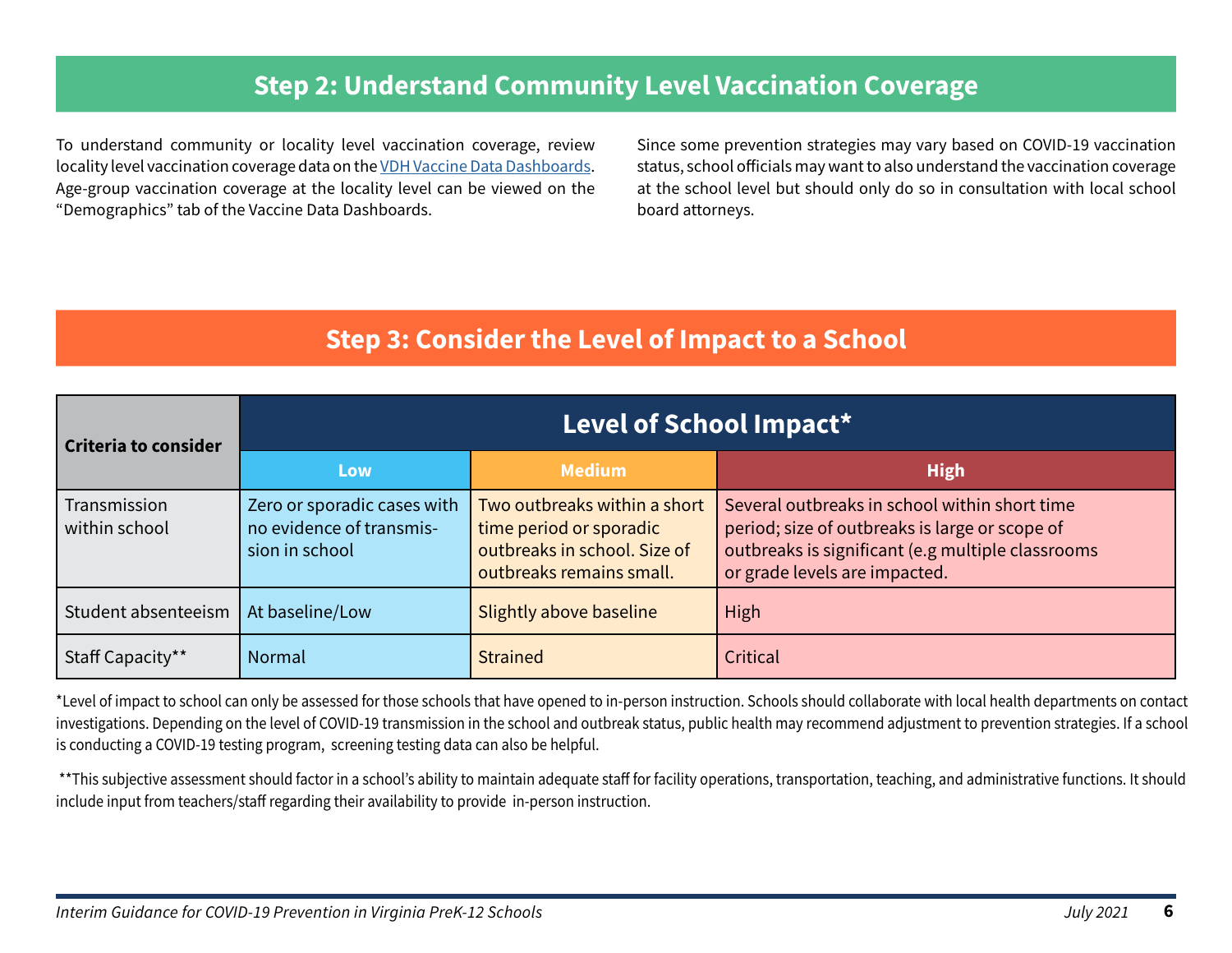# **Step 2: Understand Community Level Vaccination Coverage**

<span id="page-5-0"></span>To understand community or locality level vaccination coverage, review locality level vaccination coverage data on the [VDH Vaccine Data Dashboards.](https://www.vdh.virginia.gov/coronavirus/covid-19-vaccine-summary/) Age-group vaccination coverage at the locality level can be viewed on the "Demographics" tab of the Vaccine Data Dashboards.

Since some prevention strategies may vary based on COVID-19 vaccination status, school officials may want to also understand the vaccination coverage at the school level but should only do so in consultation with local school board attorneys.

## **Step 3: Consider the Level of Impact to a School**

| Criteria to consider          | Level of School Impact*                                                   |                                                                                                                     |                                                                                                                                                                                       |  |  |
|-------------------------------|---------------------------------------------------------------------------|---------------------------------------------------------------------------------------------------------------------|---------------------------------------------------------------------------------------------------------------------------------------------------------------------------------------|--|--|
|                               | Low                                                                       | <b>Medium</b>                                                                                                       | <b>High</b>                                                                                                                                                                           |  |  |
| Transmission<br>within school | Zero or sporadic cases with<br>no evidence of transmis-<br>sion in school | Two outbreaks within a short<br>time period or sporadic<br>outbreaks in school. Size of<br>outbreaks remains small. | Several outbreaks in school within short time<br>period; size of outbreaks is large or scope of<br>outbreaks is significant (e.g multiple classrooms<br>or grade levels are impacted. |  |  |
| Student absenteeism           | At baseline/Low                                                           | Slightly above baseline                                                                                             | High                                                                                                                                                                                  |  |  |
| Staff Capacity**              | Normal                                                                    | <b>Strained</b>                                                                                                     | Critical                                                                                                                                                                              |  |  |

\*Level of impact to school can only be assessed for those schools that have opened to in-person instruction. Schools should collaborate with local health departments on contact investigations. Depending on the level of COVID-19 transmission in the school and outbreak status, public health may recommend adjustment to prevention strategies. If a school is conducting a COVID-19 testing program, screening testing data can also be helpful.

\*\*This subjective assessment should factor in a school's ability to maintain adequate staff for facility operations, transportation, teaching, and administrative functions. It should include input from teachers/staff regarding their availability to provide in-person instruction.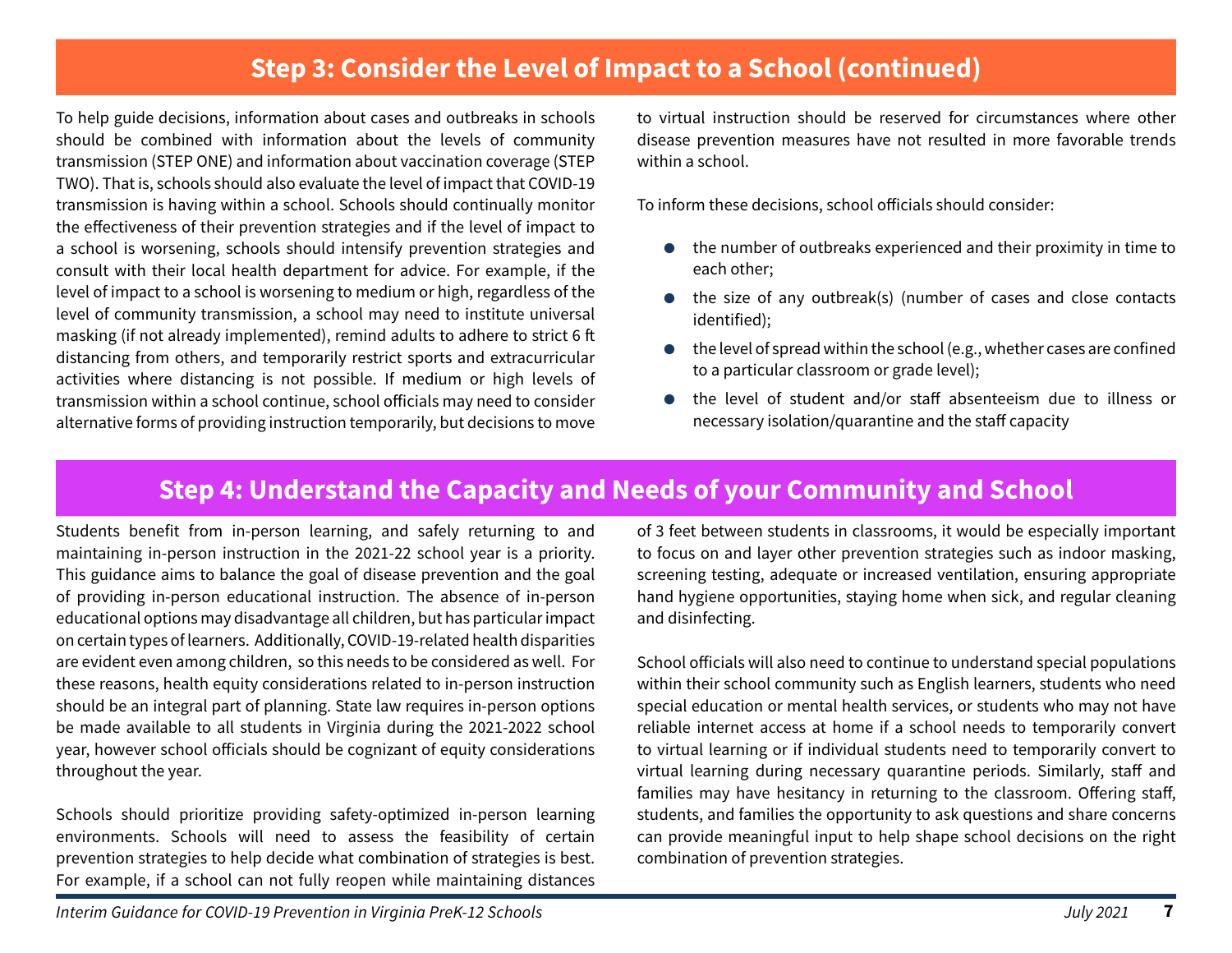## **Step 3: Consider the Level of Impact to a School (continued)**

<span id="page-6-0"></span>To help guide decisions, information about cases and outbreaks in schools should be combined with information about the levels of community transmission (STEP ONE) and information about vaccination coverage (STEP TWO). That is, schools should also evaluate the level of impact that COVID-19 transmission is having within a school. Schools should continually monitor the effectiveness of their prevention strategies and if the level of impact to a school is worsening, schools should intensify prevention strategies and consult with their local health department for advice. For example, if the level of impact to a school is worsening to medium or high, regardless of the level of community transmission, a school may need to institute universal masking (if not already implemented), remind adults to adhere to strict 6 ft distancing from others, and temporarily restrict sports and extracurricular activities where distancing is not possible. If medium or high levels of transmission within a school continue, school officials may need to consider alternative forms of providing instruction temporarily, but decisions to move to virtual instruction should be reserved for circumstances where other disease prevention measures have not resulted in more favorable trends within a school.

To inform these decisions, school officials should consider:

- the number of outbreaks experienced and their proximity in time to each other;
- the size of any outbreak(s) (number of cases and close contacts identified);
- the level of spread within the school (e.g., whether cases are confined to a particular classroom or grade level);
- the level of student and/or staff absenteeism due to illness or necessary isolation/quarantine and the staff capacity

## **Step 4: Understand the Capacity and Needs of your Community and School**

Students benefit from in-person learning, and safely returning to and maintaining in-person instruction in the 2021-22 school year is a priority. This guidance aims to balance the goal of disease prevention and the goal of providing in-person educational instruction. The absence of in-person educational options may disadvantage all children, but has particular impact on certain types of learners. Additionally, COVID-19-related health disparities are evident even among children, so this needs to be considered as well. For these reasons, health equity considerations related to in-person instruction should be an integral part of planning. State law requires in-person options be made available to all students in Virginia during the 2021-2022 school year, however school officials should be cognizant of equity considerations throughout the year.

Schools should prioritize providing safety-optimized in-person learning environments. Schools will need to assess the feasibility of certain prevention strategies to help decide what combination of strategies is best. For example, if a school can not fully reopen while maintaining distances

of 3 feet between students in classrooms, it would be especially important to focus on and layer other prevention strategies such as indoor masking, screening testing, adequate or increased ventilation, ensuring appropriate hand hygiene opportunities, staying home when sick, and regular cleaning and disinfecting.

School officials will also need to continue to understand special populations within their school community such as English learners, students who need special education or mental health services, or students who may not have reliable internet access at home if a school needs to temporarily convert to virtual learning or if individual students need to temporarily convert to virtual learning during necessary quarantine periods. Similarly, staff and families may have hesitancy in returning to the classroom. Offering staff, students, and families the opportunity to ask questions and share concerns can provide meaningful input to help shape school decisions on the right combination of prevention strategies.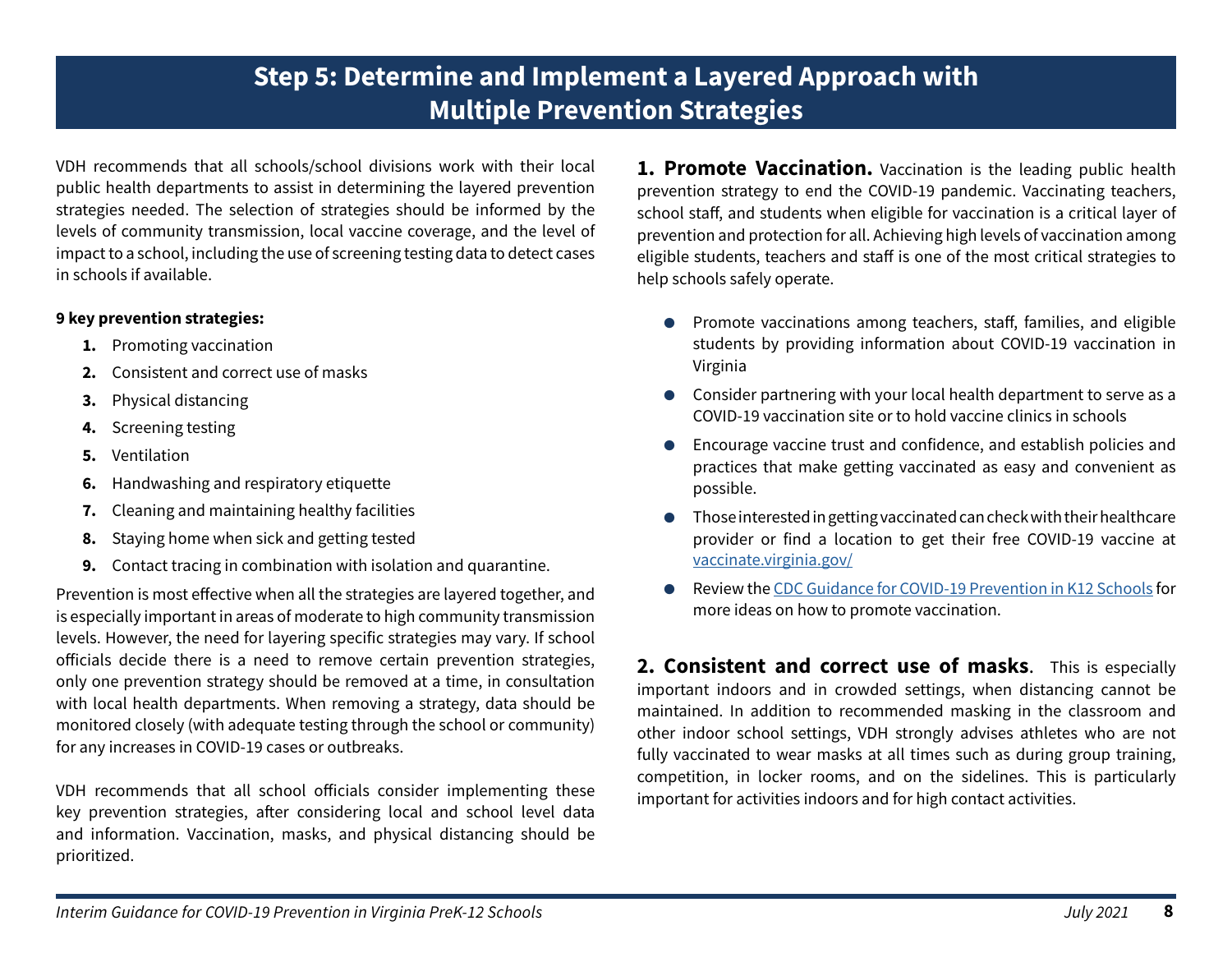<span id="page-7-0"></span>VDH recommends that all schools/school divisions work with their local public health departments to assist in determining the layered prevention strategies needed. The selection of strategies should be informed by the levels of community transmission, local vaccine coverage, and the level of impact to a school, including the use of screening testing data to detect cases in schools if available.

#### **9 key prevention strategies:**

- **1.** Promoting vaccination
- **2.** Consistent and correct use of masks
- **3.** [Physical distancing](#page-9-0)
- **4.** [Screening testing](#page-10-0)
- **5.** [Ventilation](#page-11-0)
- **6.** [Handwashing and respiratory etiquette](#page-11-0)
- **7.** [Cleaning and maintaining healthy facilities](#page-11-0)
- **8.** [Staying home when sick and getting tested](#page-11-0)
- **9.** [Contact tracing in combination with isolation and quarantine.](#page-11-0)

Prevention is most effective when all the strategies are layered together, and is especially important in areas of moderate to high community transmission levels. However, the need for layering specific strategies may vary. If school officials decide there is a need to remove certain prevention strategies, only one prevention strategy should be removed at a time, in consultation with local health departments. When removing a strategy, data should be monitored closely (with adequate testing through the school or community) for any increases in COVID-19 cases or outbreaks.

VDH recommends that all school officials consider implementing these key prevention strategies, after considering local and school level data and information. Vaccination, masks, and physical distancing should be prioritized.

**1. Promote Vaccination.** Vaccination is the leading public health prevention strategy to end the COVID-19 pandemic. Vaccinating teachers, school staff, and students when eligible for vaccination is a critical layer of prevention and protection for all. Achieving high levels of vaccination among eligible students, teachers and staff is one of the most critical strategies to help schools safely operate.

- Promote vaccinations among teachers, staff, families, and eligible students by providing information about COVID-19 vaccination in Virginia
- Consider partnering with your local health department to serve as a COVID-19 vaccination site or to hold vaccine clinics in schools
- Encourage vaccine trust and confidence, and establish policies and practices that make getting vaccinated as easy and convenient as possible.
- Those interested in getting vaccinated can check with their healthcare provider or find a location to get their free COVID-19 vaccine at [vaccinate.virginia.gov/](https://vaccinate.virginia.gov/)
- Review the [CDC Guidance for COVID-19 Prevention in K12 Schools](https://www.cdc.gov/coronavirus/2019-ncov/community/schools-childcare/k-12-guidance.html) for more ideas on how to promote vaccination.

**[2. Consistent and correct use of masks](#page-8-0)**. This is especially important indoors and in crowded settings, when distancing cannot be maintained. In addition to recommended masking in the classroom and other indoor school settings, VDH strongly advises athletes who are not fully vaccinated to wear masks at all times such as during group training, competition, in locker rooms, and on the sidelines. This is particularly important for activities indoors and for high contact activities.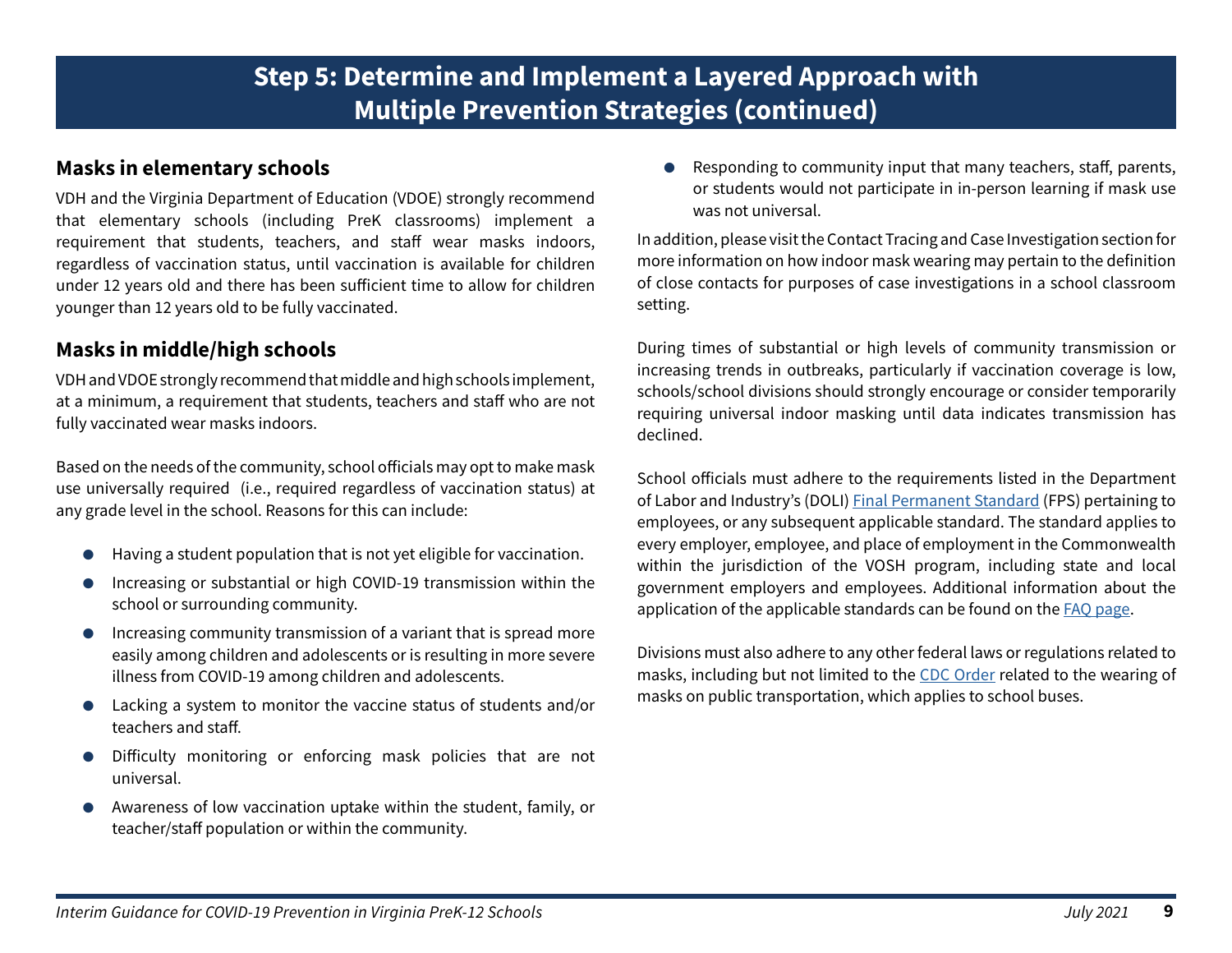#### <span id="page-8-0"></span>**Masks in elementary schools**

VDH and the Virginia Department of Education (VDOE) strongly recommend that elementary schools (including PreK classrooms) implement a requirement that students, teachers, and staff wear masks indoors, regardless of vaccination status, until vaccination is available for children under 12 years old and there has been sufficient time to allow for children younger than 12 years old to be fully vaccinated.

### **Masks in middle/high schools**

VDH and VDOE strongly recommend that middle and high schools implement, at a minimum, a requirement that students, teachers and staff who are not fully vaccinated wear masks indoors.

Based on the needs of the community, school officials may opt to make mask use universally required (i.e., required regardless of vaccination status) at any grade level in the school. Reasons for this can include:

- Having a student population that is not yet eligible for vaccination.
- Increasing or substantial or high COVID-19 transmission within the school or surrounding community.
- Increasing community transmission of a variant that is spread more easily among children and adolescents or is resulting in more severe illness from COVID-19 among children and adolescents.
- Lacking a system to monitor the vaccine status of students and/or teachers and staff.
- Difficulty monitoring or enforcing mask policies that are not universal.
- Awareness of low vaccination uptake within the student, family, or teacher/staff population or within the community.

● Responding to community input that many teachers, staff, parents, or students would not participate in in-person learning if mask use was not universal.

In addition, please visit the Contact Tracing and Case Investigation section for more information on how indoor mask wearing may pertain to the definition of close contacts for purposes of case investigations in a school classroom setting.

During times of substantial or high levels of community transmission or increasing trends in outbreaks, particularly if vaccination coverage is low, schools/school divisions should strongly encourage or consider temporarily requiring universal indoor masking until data indicates transmission has declined.

School officials must adhere to the requirements listed in the Department of Labor and Industry's (DOLI[\) Final Permanent Standard](https://www.doli.virginia.gov/wp-content/uploads/2021/01/Final-Standard-for-Infectious-Disease-Prevention-of-the-Virus-That-Causes-COVID-19-16-VAC25-220-1.27.2021.pdf) (FPS) pertaining to employees, or any subsequent applicable standard. The standard applies to every employer, employee, and place of employment in the Commonwealth within the jurisdiction of the VOSH program, including state and local government employers and employees. Additional information about the application of the applicable standards can be found on the [FAQ page](https://www.doli.virginia.gov/final-covid-19-standard-frequently-asked-questions/).

Divisions must also adhere to any other federal laws or regulations related to masks, including but not limited to the [CDC Order](https://www.cdc.gov/coronavirus/2019-ncov/travelers/face-masks-public-transportation.html) related to the wearing of masks on public transportation, which applies to school buses.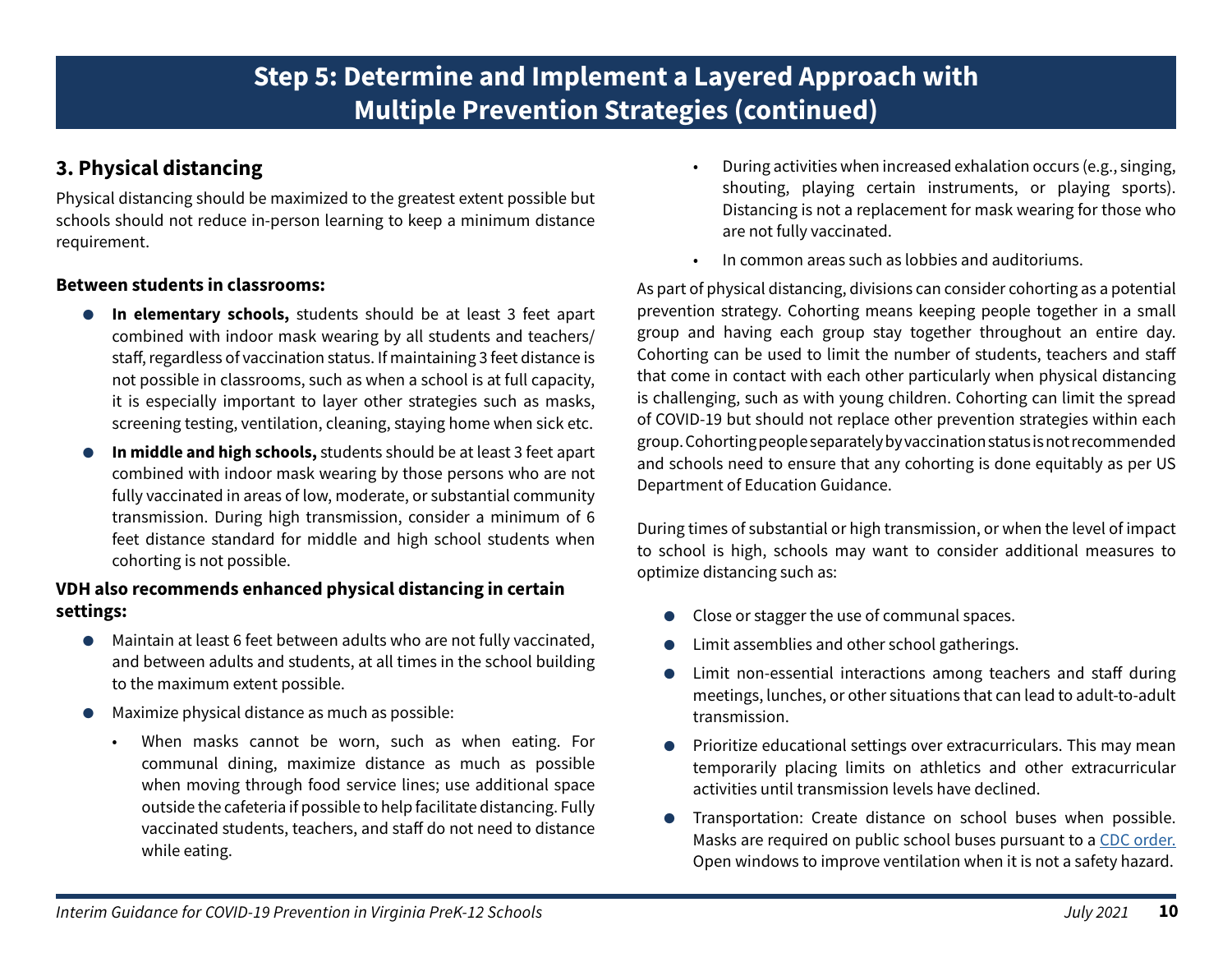#### *Interim Guidance for COVID-19 Prevention in Virginia PreK-12 Schools July 2021* **10**

# **Step 5: Determine and Implement a Layered Approach with Multiple Prevention Strategies (continued)**

## <span id="page-9-0"></span>**3. Physical distancing**

Physical distancing should be maximized to the greatest extent possible but schools should not reduce in-person learning to keep a minimum distance requirement.

#### **Between students in classrooms:**

- **In elementary schools,** students should be at least 3 feet apart combined with indoor mask wearing by all students and teachers/ staff, regardless of vaccination status. If maintaining 3 feet distance is not possible in classrooms, such as when a school is at full capacity, it is especially important to layer other strategies such as masks, screening testing, ventilation, cleaning, staying home when sick etc.
- In middle and high schools, students should be at least 3 feet apart combined with indoor mask wearing by those persons who are not fully vaccinated in areas of low, moderate, or substantial community transmission. During high transmission, consider a minimum of 6 feet distance standard for middle and high school students when cohorting is not possible.

#### **VDH also recommends enhanced physical distancing in certain settings:**

- Maintain at least 6 feet between adults who are not fully vaccinated, and between adults and students, at all times in the school building to the maximum extent possible.
- Maximize physical distance as much as possible:
	- When masks cannot be worn, such as when eating. For communal dining, maximize distance as much as possible when moving through food service lines; use additional space outside the cafeteria if possible to help facilitate distancing. Fully vaccinated students, teachers, and staff do not need to distance while eating.
- During activities when increased exhalation occurs (e.g., singing, shouting, playing certain instruments, or playing sports). Distancing is not a replacement for mask wearing for those who are not fully vaccinated.
- In common areas such as lobbies and auditoriums.

As part of physical distancing, divisions can consider cohorting as a potential prevention strategy. Cohorting means keeping people together in a small group and having each group stay together throughout an entire day. Cohorting can be used to limit the number of students, teachers and staff that come in contact with each other particularly when physical distancing is challenging, such as with young children. Cohorting can limit the spread of COVID-19 but should not replace other prevention strategies within each group. Cohorting people separately by vaccination status is not recommended and schools need to ensure that any cohorting is done equitably as per US Department of Education Guidance.

During times of substantial or high transmission, or when the level of impact to school is high, schools may want to consider additional measures to optimize distancing such as:

- Close or stagger the use of communal spaces.
- Limit assemblies and other school gatherings.
- Limit non-essential interactions among teachers and staff during meetings, lunches, or other situations that can lead to adult-to-adult transmission.
- Prioritize educational settings over extracurriculars. This may mean temporarily placing limits on athletics and other extracurricular activities until transmission levels have declined.
- Transportation: Create distance on school buses when possible. Masks are required on public school buses pursuant to a [CDC order.](https://www.cdc.gov/coronavirus/2019-ncov/travelers/face-masks-public-transportation.html) Open windows to improve ventilation when it is not a safety hazard.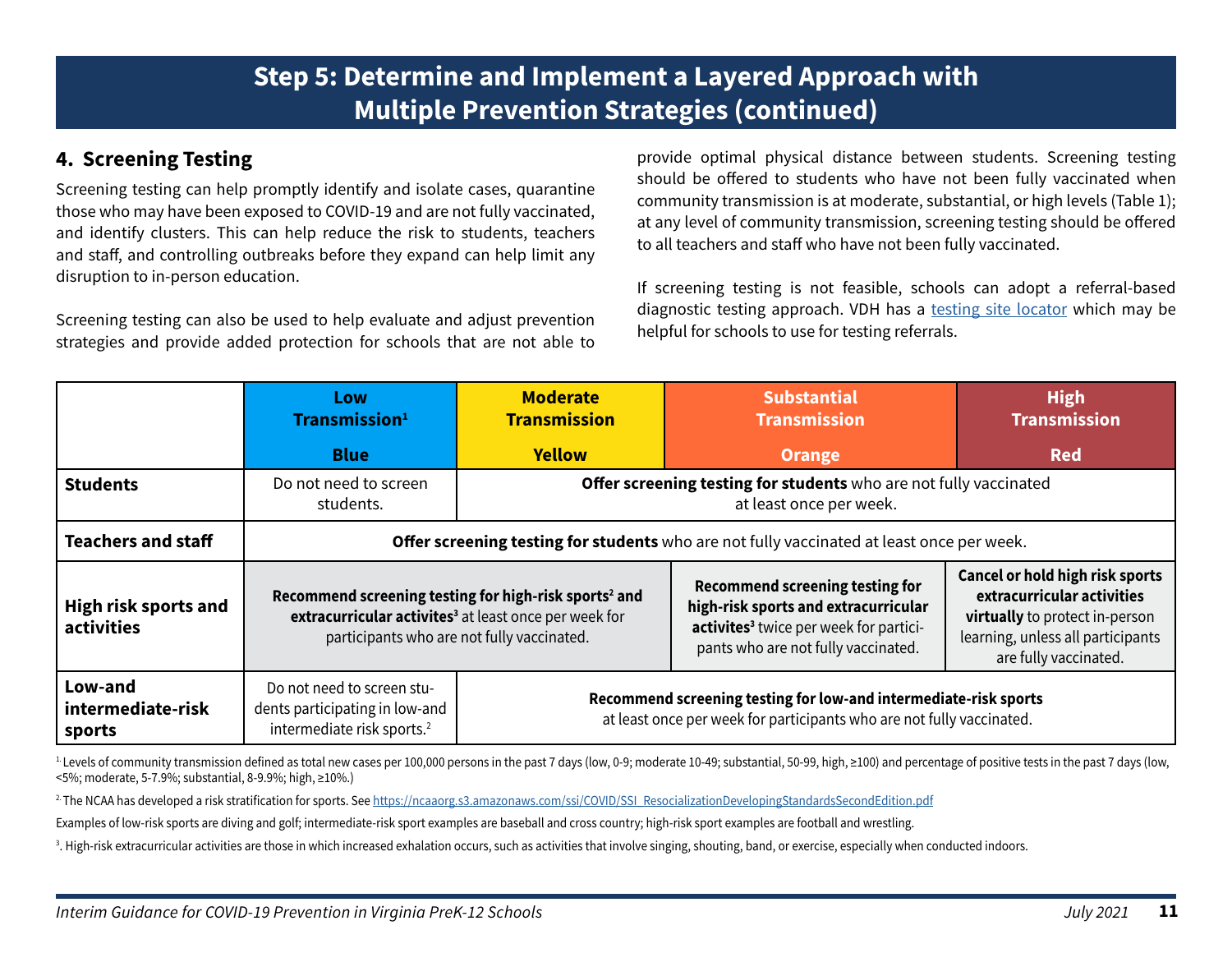## <span id="page-10-0"></span>**4. Screening Testing**

Screening testing can help promptly identify and isolate cases, quarantine those who may have been exposed to COVID-19 and are not fully vaccinated, and identify clusters. This can help reduce the risk to students, teachers and staff, and controlling outbreaks before they expand can help limit any disruption to in-person education.

Screening testing can also be used to help evaluate and adjust prevention strategies and provide added protection for schools that are not able to provide optimal physical distance between students. Screening testing should be offered to students who have not been fully vaccinated when community transmission is at moderate, substantial, or high levels (Table 1); at any level of community transmission, screening testing should be offered to all teachers and staff who have not been fully vaccinated.

If screening testing is not feasible, schools can adopt a referral-based diagnostic testing approach. VDH has a [testing site locator](https://www.vdh.virginia.gov/coronavirus/covid-19-testing-sites/) which may be helpful for schools to use for testing referrals.

|                                           | Low<br>Transmission <sup>1</sup>                                                                       | <b>Moderate</b><br><b>Transmission</b>                                                                                                    | <b>Substantial</b><br><b>Transmission</b>                                                                                                                                   | <b>High</b><br><b>Transmission</b>                                                                                                                                   |  |
|-------------------------------------------|--------------------------------------------------------------------------------------------------------|-------------------------------------------------------------------------------------------------------------------------------------------|-----------------------------------------------------------------------------------------------------------------------------------------------------------------------------|----------------------------------------------------------------------------------------------------------------------------------------------------------------------|--|
|                                           | <b>Blue</b>                                                                                            | <b>Yellow</b>                                                                                                                             | <b>Orange</b>                                                                                                                                                               | <b>Red</b>                                                                                                                                                           |  |
| <b>Students</b>                           | Do not need to screen<br>students.                                                                     | Offer screening testing for students who are not fully vaccinated<br>at least once per week.                                              |                                                                                                                                                                             |                                                                                                                                                                      |  |
| <b>Teachers and staff</b>                 | <b>Offer screening testing for students</b> who are not fully vaccinated at least once per week.       |                                                                                                                                           |                                                                                                                                                                             |                                                                                                                                                                      |  |
| <b>High risk sports and</b><br>activities | participants who are not fully vaccinated.                                                             | Recommend screening testing for high-risk sports <sup>2</sup> and<br>extracurricular activites <sup>3</sup> at least once per week for    | <b>Recommend screening testing for</b><br>high-risk sports and extracurricular<br>activites <sup>3</sup> twice per week for partici-<br>pants who are not fully vaccinated. | <b>Cancel or hold high risk sports</b><br>extracurricular activities<br>virtually to protect in-person<br>learning, unless all participants<br>are fully vaccinated. |  |
| Low-and<br>intermediate-risk<br>sports    | Do not need to screen stu-<br>dents participating in low-and<br>intermediate risk sports. <sup>2</sup> | Recommend screening testing for low-and intermediate-risk sports<br>at least once per week for participants who are not fully vaccinated. |                                                                                                                                                                             |                                                                                                                                                                      |  |

<sup>1</sup>. Levels of community transmission defined as total new cases per 100,000 persons in the past 7 days (low, 0-9; moderate 10-49; substantial, 50-99, high, ≥100) and percentage of positive tests in the past 7 days (low, <5%; moderate, 5-7.9%; substantial, 8-9.9%; high, ≥10%.)

<sup>2</sup>The NCAA has developed a risk stratification for sports. See [https://ncaaorg.s3.amazonaws.com/ssi/COVID/SSI\\_ResocializationDevelopingStandardsSecondEdition.pdf](https://ncaaorg.s3.amazonaws.com/ssi/COVID/SSI_ResocializationDevelopingStandardsSecondEdition.pdf
)

Examples of low-risk sports are diving and golf; intermediate-risk sport examples are baseball and cross country; high-risk sport examples are football and wrestling.

 $^3$ . High-risk extracurricular activities are those in which increased exhalation occurs, such as activities that involve singing, shouting, band, or exercise, especially when conducted indoors.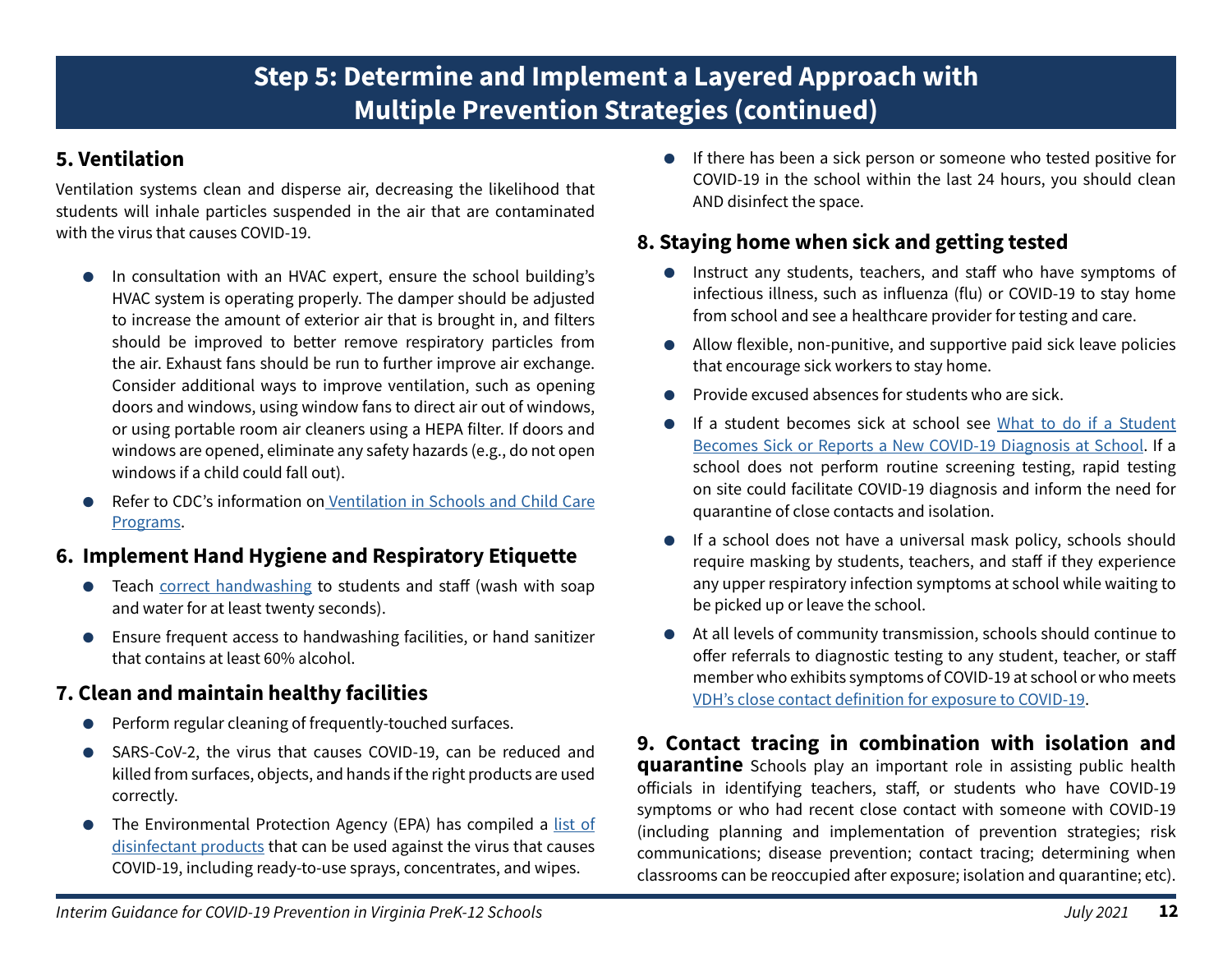## <span id="page-11-0"></span>**5. Ventilation**

Ventilation systems clean and disperse air, decreasing the likelihood that students will inhale particles suspended in the air that are contaminated with the virus that causes COVID-19.

- In consultation with an HVAC expert, ensure the school building's HVAC system is operating properly. The damper should be adjusted to increase the amount of exterior air that is brought in, and filters should be improved to better remove respiratory particles from the air. Exhaust fans should be run to further improve air exchange. Consider additional ways to improve ventilation, such as opening doors and windows, using window fans to direct air out of windows, or using portable room air cleaners using a HEPA filter. If doors and windows are opened, eliminate any safety hazards (e.g., do not open windows if a child could fall out).
- Refer to CDC's information on [Ventilation in Schools and Child Care](https://www.cdc.gov/coronavirus/2019-ncov/community/schools-childcare/ventilation.html) [Programs.](https://www.cdc.gov/coronavirus/2019-ncov/community/schools-childcare/ventilation.html)

#### **6. Implement Hand Hygiene and Respiratory Etiquette**

- Teach [correct handwashing](https://www.cdc.gov/handwashing/when-how-handwashing.html) to students and staff (wash with soap and water for at least twenty seconds).
- Ensure frequent access to handwashing facilities, or hand sanitizer that contains at least 60% alcohol.

## **7. Clean and maintain healthy facilities**

- Perform regular cleaning of frequently-touched surfaces.
- SARS-CoV-2, the virus that causes COVID-19, can be reduced and killed from surfaces, objects, and hands if the right products are used correctly.
- The Environmental Protection Agency (EPA) has compiled a [list of](https://cfpub.epa.gov/wizards/disinfectants/) [disinfectant products](https://cfpub.epa.gov/wizards/disinfectants/) that can be used against the virus that causes COVID-19, including ready-to-use sprays, concentrates, and wipes.

● If there has been a sick person or someone who tested positive for COVID-19 in the school within the last 24 hours, you should clean AND disinfect the space.

## **8. Staying home when sick and getting tested**

- Instruct any students, teachers, and staff who have symptoms of infectious illness, such as influenza (flu) or COVID-19 to stay home from school and see a healthcare provider for testing and care.
- Allow flexible, non-punitive, and supportive paid sick leave policies that encourage sick workers to stay home.
- Provide excused absences for students who are sick.
- If a student becomes sick at school see [What to do if a Student](https://www.cdc.gov/coronavirus/2019-ncov/community/schools-childcare/student-becomes-sick-diagnosis-flowchart.html) [Becomes Sick or Reports a New COVID-19 Diagnosis at School](https://www.cdc.gov/coronavirus/2019-ncov/community/schools-childcare/student-becomes-sick-diagnosis-flowchart.html). If a school does not perform routine screening testing, rapid testing on site could facilitate COVID-19 diagnosis and inform the need for quarantine of close contacts and isolation.
- If a school does not have a universal mask policy, schools should require masking by students, teachers, and staff if they experience any upper respiratory infection symptoms at school while waiting to be picked up or leave the school.
- At all levels of community transmission, schools should continue to offer referrals to diagnostic testing to any student, teacher, or staff member who exhibits symptoms of COVID-19 at school or who meets [VDH's close contact definition for exposure to COVID-19.](https://www.vdh.virginia.gov/coronavirus/local-exposure/#close-contact)

**9. Contact tracing in combination with isolation and quarantine** Schools play an important role in assisting public health officials in identifying teachers, staff, or students who have COVID-19 symptoms or who had recent close contact with someone with COVID-19 (including planning and implementation of prevention strategies; risk communications; disease prevention; contact tracing; determining when classrooms can be reoccupied after exposure; isolation and quarantine; etc).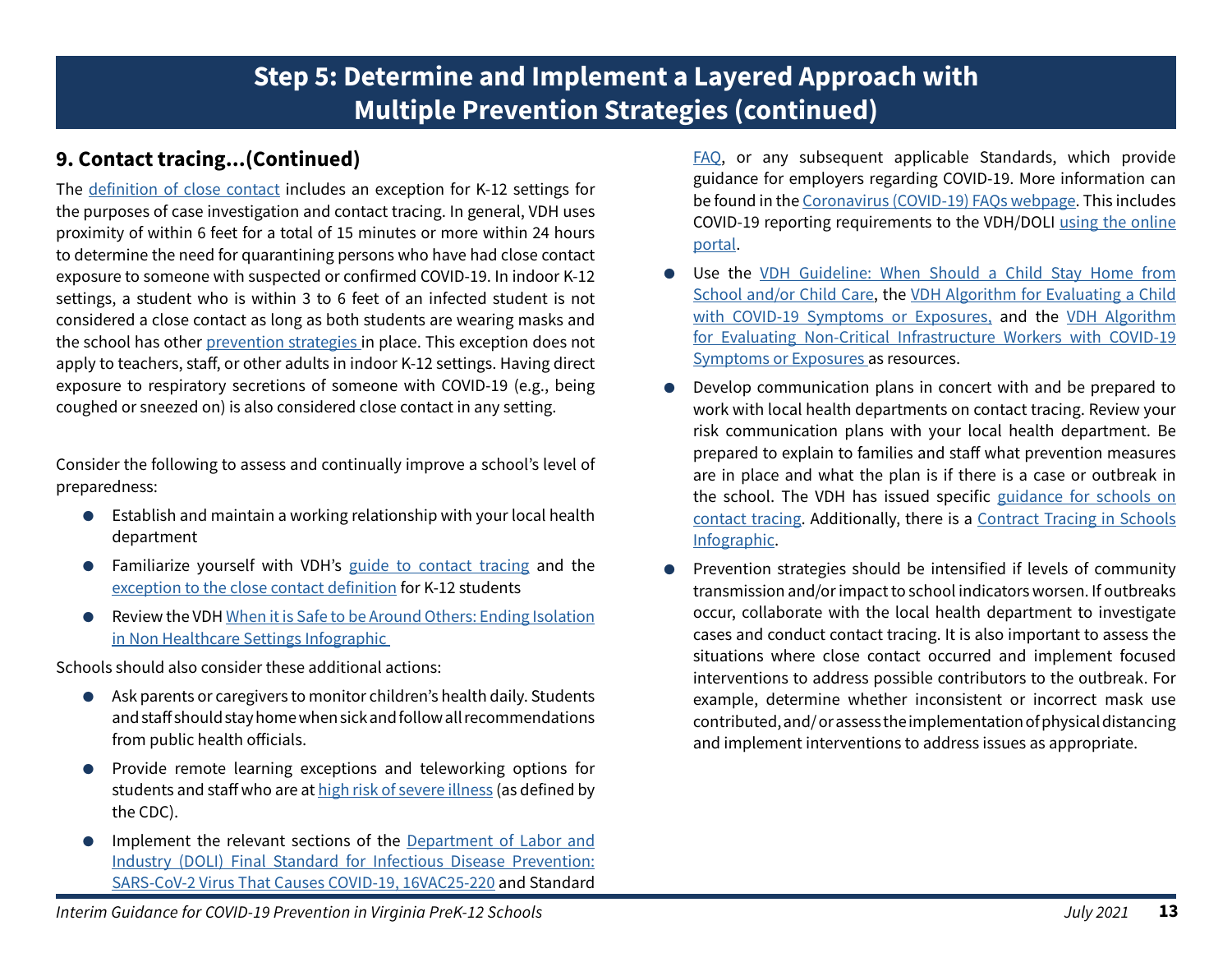## **9. Contact tracing...(Continued)**

The [definition of close contact](https://www.vdh.virginia.gov/coronavirus/local-exposure/#close-contact) includes an exception for K-12 settings for the purposes of case investigation and contact tracing. In general, VDH uses proximity of within 6 feet for a total of 15 minutes or more within 24 hours to determine the need for quarantining persons who have had close contact exposure to someone with suspected or confirmed COVID-19. In indoor K-12 settings, a student who is within 3 to 6 feet of an infected student is not considered a close contact as long as both students are wearing masks and the school has other [prevention strategies](https://www.cdc.gov/coronavirus/2019-ncov/community/schools-childcare/k-12-guidance.html#anchor_1625661984621) in place. This exception does not apply to teachers, staff, or other adults in indoor K-12 settings. Having direct exposure to respiratory secretions of someone with COVID-19 (e.g., being coughed or sneezed on) is also considered close contact in any setting.

Consider the following to assess and continually improve a school's level of preparedness:

- Establish and maintain a working relationship with your local health department
- Familiarize yourself with VDH's [guide to contact tracing](https://www.vdh.virginia.gov/coronavirus/prevention-tips/contact-tracing/) and the [exception to the close contact definition](https://www.vdh.virginia.gov/coronavirus/local-exposure/#close-contact) for K-12 students
- Review the VDH [When it is Safe to be Around Others: Ending Isolation](https://www.vdh.virginia.gov/content/uploads/sites/182/2020/04/Home-IsolationQuarantine-Release-Graphic_FINAL.pdf) [in Non Healthcare Settings Infographic](https://www.vdh.virginia.gov/content/uploads/sites/182/2020/04/Home-IsolationQuarantine-Release-Graphic_FINAL.pdf)

Schools should also consider these additional actions:

- Ask parents or caregivers to monitor children's health daily. Students and staff should stay home when sick and follow all recommendations from public health officials.
- Provide remote learning exceptions and teleworking options for students and staff who are at [high risk of severe illness \(](https://www.cdc.gov/coronavirus/2019-ncov/need-extra-precautions/index.html?CDC_AA_refVal=https%3A%2F%2Fwww.cdc.gov%2Fcoronavirus%2F2019-ncov%2Fneed-extra-precautions%2Fpeople-at-increased-risk.html)as defined by the CDC).
- Implement the relevant sections of the [Department of Labor and](https://www.doli.virginia.gov/wp-content/uploads/2021/01/Final-Standard-for-Infectious-Disease-Prevention-of-the-Virus-That-Causes-COVID-19-16-VAC25-220-1.27.2021.pdf) [Industry \(DOLI\) Final Standard for Infectious Disease Prevention:](https://www.doli.virginia.gov/wp-content/uploads/2021/01/Final-Standard-for-Infectious-Disease-Prevention-of-the-Virus-That-Causes-COVID-19-16-VAC25-220-1.27.2021.pdf) [SARS-CoV-2 Virus That Causes COVID-19, 16VAC25-220](https://www.doli.virginia.gov/wp-content/uploads/2021/01/Final-Standard-for-Infectious-Disease-Prevention-of-the-Virus-That-Causes-COVID-19-16-VAC25-220-1.27.2021.pdf) and Standard

[FAQ,](https://www.doli.virginia.gov/final-covid-19-standard-frequently-asked-questions/) or any subsequent applicable Standards, which provide guidance for employers regarding COVID-19. More information can be found in the [Coronavirus \(COVID-19\) FAQs webpage](https://www.vdh.virginia.gov/covid-19-faq/). This includes COVID-19 reporting requirements to the VDH/DOLI [using the online](https://redcap.vdh.virginia.gov/redcap/surveys/?s=LRHNP89XPK) [portal](https://redcap.vdh.virginia.gov/redcap/surveys/?s=LRHNP89XPK).

- Use the VDH Guideline: When Should a Child Stay Home from [School and/or Child Care,](https://www.vdh.virginia.gov/content/uploads/sites/182/2020/10/Child-School_COVID-19_Booklet.pdf) the [VDH Algorithm for Evaluating a Child](https://www.vdh.virginia.gov/content/uploads/sites/182/2020/08/Evaluating-Symptoms-in-a-Child.pdf) [with COVID-19 Symptoms or Exposures,](https://www.vdh.virginia.gov/content/uploads/sites/182/2020/08/Evaluating-Symptoms-in-a-Child.pdf) and the [VDH Algorithm](https://www.vdh.virginia.gov/content/uploads/sites/182/2020/09/Noncritical-Infrastructure-Worker-Algorithm.pdf)  [for Evaluating Non-Critical Infrastructure Workers with COVID-19](https://www.vdh.virginia.gov/content/uploads/sites/182/2020/09/Noncritical-Infrastructure-Worker-Algorithm.pdf)  [Symptoms or Exposures a](https://www.vdh.virginia.gov/content/uploads/sites/182/2020/09/Noncritical-Infrastructure-Worker-Algorithm.pdf)s resources.
- Develop communication plans in concert with and be prepared to work with local health departments on contact tracing. Review your risk communication plans with your local health department. Be prepared to explain to families and staff what prevention measures are in place and what the plan is if there is a case or outbreak in the school. The VDH has issued specific [guidance for schools on](https://www.vdh.virginia.gov/content/uploads/sites/182/2020/08/Contact-Tracing-for-COVID-19-in-K-12_080520_Final.pdf) [contact tracing](https://www.vdh.virginia.gov/content/uploads/sites/182/2020/08/Contact-Tracing-for-COVID-19-in-K-12_080520_Final.pdf). Additionally, there is a [Contract Tracing in Schools](https://www.vdh.virginia.gov/content/uploads/sites/182/2020/08/INFOGRAPHIC_ContactTracing_School_080520_Final.pdf) [Infographic.](https://www.vdh.virginia.gov/content/uploads/sites/182/2020/08/INFOGRAPHIC_ContactTracing_School_080520_Final.pdf)
- Prevention strategies should be intensified if levels of community transmission and/or impact to school indicators worsen. If outbreaks occur, collaborate with the local health department to investigate cases and conduct contact tracing. It is also important to assess the situations where close contact occurred and implement focused interventions to address possible contributors to the outbreak. For example, determine whether inconsistent or incorrect mask use contributed, and/ or assess the implementation of physical distancing and implement interventions to address issues as appropriate.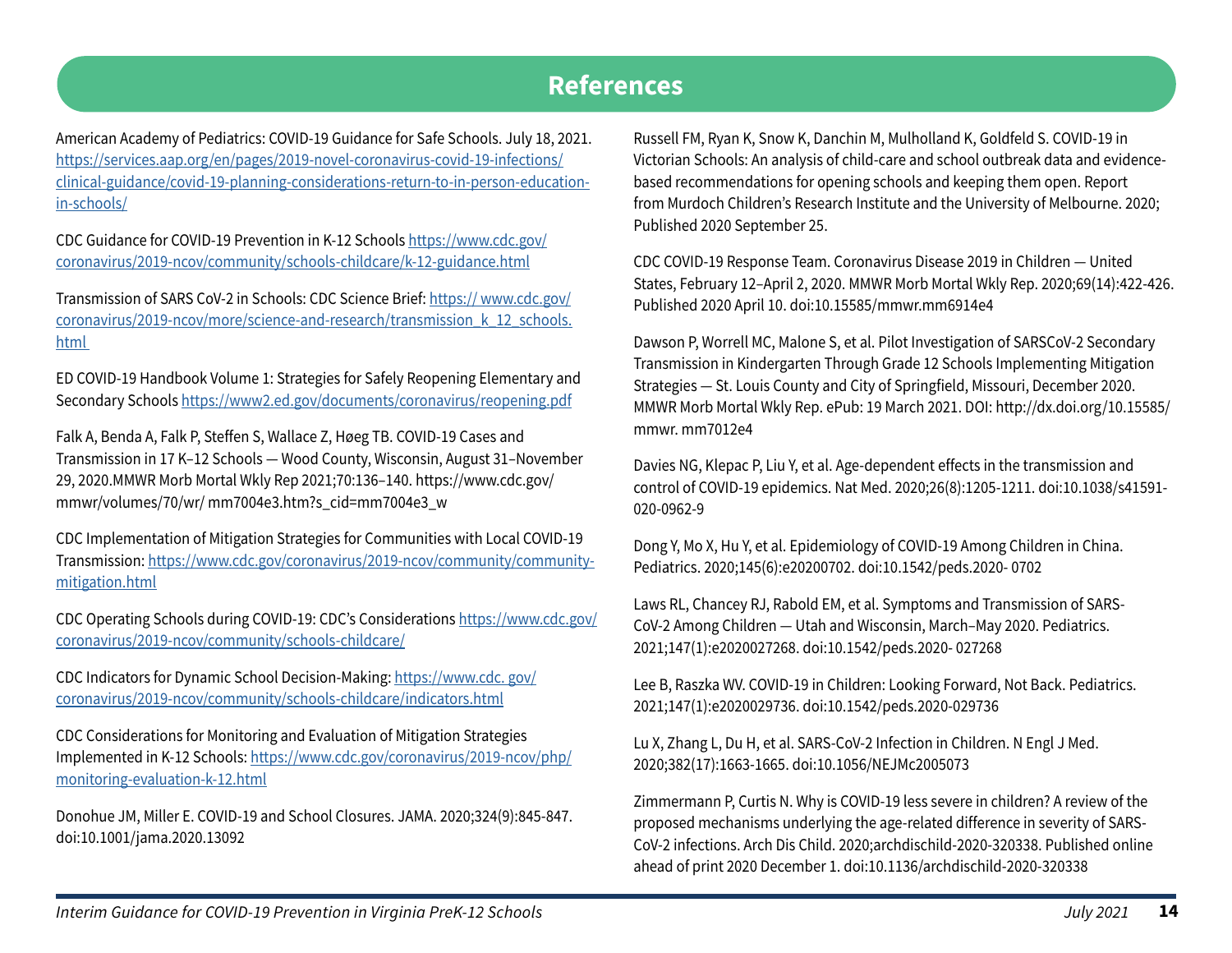## **References**

American Academy of Pediatrics: COVID-19 Guidance for Safe Schools. July 18, 2021. [https://services.aap.org/en/pages/2019-novel-coronavirus-covid-19-infections/](https://services.aap.org/en/pages/2019-novel-coronavirus-covid-19-infections/clinical-guidance/covid-19-planning-considerations-return-to-in-person-education-in-schools/) [clinical-guidance/covid-19-planning-considerations-return-to-in-person-education](https://services.aap.org/en/pages/2019-novel-coronavirus-covid-19-infections/clinical-guidance/covid-19-planning-considerations-return-to-in-person-education-in-schools/)[in-schools/](https://services.aap.org/en/pages/2019-novel-coronavirus-covid-19-infections/clinical-guidance/covid-19-planning-considerations-return-to-in-person-education-in-schools/)

CDC Guidance for COVID-19 Prevention in K-12 Schools [https://www.cdc.gov/](https://www.cdc.gov/coronavirus/2019-ncov/community/schools-childcare/k-12-guidance.html
) [coronavirus/2019-ncov/community/schools-childcare/k-12-guidance.html](https://www.cdc.gov/coronavirus/2019-ncov/community/schools-childcare/k-12-guidance.html
)

Transmission of SARS CoV-2 in Schools: CDC Science Brief: [https:// www.cdc.gov/](https://www.cdc.gov/coronavirus/2019-ncov/more/science-and-research/transmission_k_12_schools.html 
) [coronavirus/2019-ncov/more/science-and-research/transmission\\_k\\_12\\_schools.](https://www.cdc.gov/coronavirus/2019-ncov/more/science-and-research/transmission_k_12_schools.html 
) [html](https://www.cdc.gov/coronavirus/2019-ncov/more/science-and-research/transmission_k_12_schools.html 
) 

ED COVID-19 Handbook Volume 1: Strategies for Safely Reopening Elementary and Secondary Schools [https://www2.ed.gov/documents/coronavirus/reopening.pdf](https://www2.ed.gov/documents/coronavirus/reopening.pdf 
)

Falk A, Benda A, Falk P, Steffen S, Wallace Z, Høeg TB. COVID-19 Cases and Transmission in 17 K–12 Schools — Wood County, Wisconsin, August 31–November 29, 2020.MMWR Morb Mortal Wkly Rep 2021;70:136–140. https://www.cdc.gov/ mmwr/volumes/70/wr/ mm7004e3.htm?s\_cid=mm7004e3\_w

CDC Implementation of Mitigation Strategies for Communities with Local COVID-19 Transmission: [https://www.cdc.gov/coronavirus/2019-ncov/community/community](https://www.cdc.gov/coronavirus/2019-ncov/community/community-mitigation.html
)[mitigation.html](https://www.cdc.gov/coronavirus/2019-ncov/community/community-mitigation.html
)

CDC Operating Schools during COVID-19: CDC's Considerations [https://www.cdc.gov/](https://www.cdc.gov/coronavirus/2019-ncov/community/schools-childcare/
) [coronavirus/2019-ncov/community/schools-childcare/](https://www.cdc.gov/coronavirus/2019-ncov/community/schools-childcare/
)

CDC Indicators for Dynamic School Decision-Making: https://www.cdc. gov/ coronavirus/2019-ncov/community/schools-childcare/indicators.html

CDC Considerations for Monitoring and Evaluation of Mitigation Strategies Implemented in K-12 Schools: [https://www.cdc.gov/coronavirus/2019-ncov/php/](https://www.cdc.) [monitoring-evaluation-k-12.html](https://www.cdc.)

Donohue JM, Miller E. COVID-19 and School Closures. JAMA. 2020;324(9):845-847. doi:10.1001/jama.2020.13092

Russell FM, Ryan K, Snow K, Danchin M, Mulholland K, Goldfeld S. COVID-19 in Victorian Schools: An analysis of child-care and school outbreak data and evidencebased recommendations for opening schools and keeping them open. Report from Murdoch Children's Research Institute and the University of Melbourne. 2020; Published 2020 September 25.

CDC COVID-19 Response Team. Coronavirus Disease 2019 in Children — United States, February 12–April 2, 2020. MMWR Morb Mortal Wkly Rep. 2020;69(14):422-426. Published 2020 April 10. doi:10.15585/mmwr.mm6914e4

Dawson P, Worrell MC, Malone S, et al. Pilot Investigation of SARSCoV-2 Secondary Transmission in Kindergarten Through Grade 12 Schools Implementing Mitigation Strategies — St. Louis County and City of Springfield, Missouri, December 2020. MMWR Morb Mortal Wkly Rep. ePub: 19 March 2021. DOI: http://dx.doi.org/10.15585/ mmwr. mm7012e4

Davies NG, Klepac P, Liu Y, et al. Age-dependent effects in the transmission and control of COVID-19 epidemics. Nat Med. 2020;26(8):1205-1211. doi:10.1038/s41591- 020-0962-9

Dong Y, Mo X, Hu Y, et al. Epidemiology of COVID-19 Among Children in China. Pediatrics. 2020;145(6):e20200702. doi:10.1542/peds.2020- 0702

Laws RL, Chancey RJ, Rabold EM, et al. Symptoms and Transmission of SARS-CoV-2 Among Children — Utah and Wisconsin, March–May 2020. Pediatrics. 2021;147(1):e2020027268. doi:10.1542/peds.2020- 027268

Lee B, Raszka WV. COVID-19 in Children: Looking Forward, Not Back. Pediatrics. 2021;147(1):e2020029736. doi:10.1542/peds.2020-029736

Lu X, Zhang L, Du H, et al. SARS-CoV-2 Infection in Children. N Engl J Med. 2020;382(17):1663-1665. doi:10.1056/NEJMc2005073

Zimmermann P, Curtis N. Why is COVID-19 less severe in children? A review of the proposed mechanisms underlying the age-related difference in severity of SARS-CoV-2 infections. Arch Dis Child. 2020;archdischild-2020-320338. Published online ahead of print 2020 December 1. doi:10.1136/archdischild-2020-320338